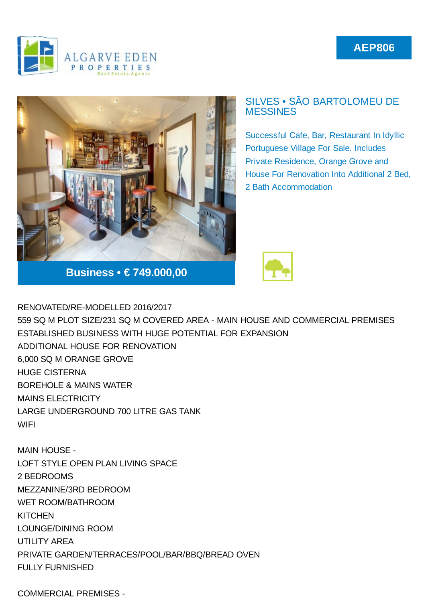## **AEP806**





## SILVES • SÃO BARTOLOMEU DE **MESSINES**

Successful Cafe, Bar, Restaurant In Idyllic Portuguese Village For Sale. Includes Private Residence, Orange Grove and House For Renovation Into Additional 2 Bed, 2 Bath Accommodation



RENOVATED/RE-MODELLED 2016/2017 559 SQ M PLOT SIZE/231 SQ M COVERED AREA - MAIN HOUSE AND COMMERCIAL PREMISES ESTABLISHED BUSINESS WITH HUGE POTENTIAL FOR EXPANSION ADDITIONAL HOUSE FOR RENOVATION 6,000 SQ M ORANGE GROVE HUGE CISTERNA BOREHOLE & MAINS WATER MAINS ELECTRICITY LARGE UNDERGROUND 700 LITRE GAS TANK **WIFI** 

MAIN HOUSE - LOFT STYLE OPEN PLAN LIVING SPACE 2 BEDROOMS MEZZANINE/3RD BEDROOM WET ROOM/BATHROOM **KITCHEN** LOUNGE/DINING ROOM UTILITY AREA PRIVATE GARDEN/TERRACES/POOL/BAR/BBQ/BREAD OVEN FULLY FURNISHED

COMMERCIAL PREMISES -